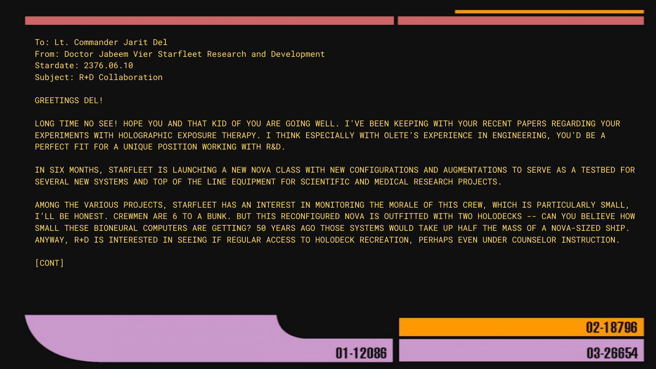To: Lt. Commander Jarit Del From: Doctor Jabeem Vier Starfleet Research and Development Stardate: 2376.06.10 Subject: R+D Collaboration

GREETINGS DEL!

LONG TIME NO SEE! HOPE YOU AND THAT KID OF YOU ARE GOING WELL. I'VE BEEN KEEPING WITH YOUR RECENT PAPERS REGARDING YOUR EXPERIMENTS WITH HOLOGRAPHIC EXPOSURE THERAPY. I THINK ESPECIALLY WITH OLETE'S EXPERIENCE IN ENGINEERING, YOU'D BE A PERFECT FIT FOR A UNIQUE POSITION WORKING WITH R&D.

IN SIX MONTHS, STARFLEET IS LAUNCHING A NEW NOVA CLASS WITH NEW CONFIGURATIONS AND AUGMENTATIONS TO SERVE AS A TESTBED FOR SEVERAL NEW SYSTEMS AND TOP OF THE LINE EQUIPMENT FOR SCIENTIFIC AND MEDICAL RESEARCH PROJECTS.

AMONG THE VARIOUS PROJECTS, STARFLEET HAS AN INTEREST IN MONITORING THE MORALE OF THIS CREW, WHICH IS PARTICULARLY SMALL, I'LL BE HONEST. CREWMEN ARE 6 TO A BUNK. BUT THIS RECONFIGURED NOVA IS OUTFITTED WITH TWO HOLODECKS -- CAN YOU BELIEVE HOW SMALL THESE BIONEURAL COMPUTERS ARE GETTING? 50 YEARS AGO THOSE SYSTEMS WOULD TAKE UP HALF THE MASS OF A NOVA-SIZED SHIP. ANYWAY, R+D IS INTERESTED IN SEEING IF REGULAR ACCESS TO HOLODECK RECREATION, PERHAPS EVEN UNDER COUNSELOR INSTRUCTION.

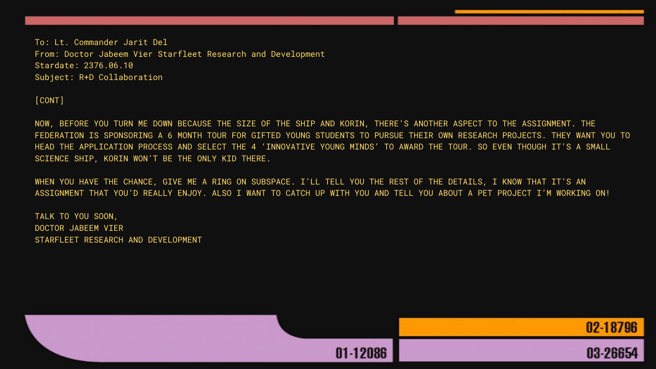To: Lt. Commander Jarit Del From: Doctor Jabeem Vier Starfleet Research and Development Stardate: 2376.06.10 Subject: R+D Collaboration

[CONT]

NOW, BEFORE YOU TURN ME DOWN BECAUSE THE SIZE OF THE SHIP AND KORIN, THERE'S ANOTHER ASPECT TO THE ASSIGNMENT. THE FEDERATION IS SPONSORING A 6 MONTH TOUR FOR GIFTED YOUNG STUDENTS TO PURSUE THEIR OWN RESEARCH PROJECTS. THEY WANT YOU TO HEAD THE APPLICATION PROCESS AND SELECT THE 4 'INNOVATIVE YOUNG MINDS' TO AWARD THE TOUR. SO EVEN THOUGH IT'S A SMALL SCIENCE SHIP, KORIN WON'T BE THE ONLY KID THERE.

WHEN YOU HAVE THE CHANCE, GIVE ME A RING ON SUBSPACE. I'LL TELL YOU THE REST OF THE DETAILS, I KNOW THAT IT'S AN ASSIGNMENT THAT YOU'D REALLY ENJOY. ALSO I WANT TO CATCH UP WITH YOU AND TELL YOU ABOUT A PET PROJECT I'M WORKING ON!

TALK TO YOU SOON, DOCTOR JABEEM VIER STARFLEET RESEARCH AND DEVELOPMENT

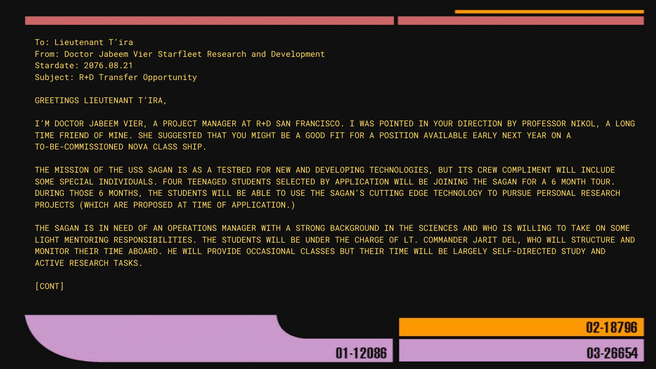To: Lieutenant T'ira From: Doctor Jabeem Vier Starfleet Research and Development Stardate: 2076.08.21 Subject: R+D Transfer Opportunity

## GREETINGS LIEUTENANT T'IRA,

I'M DOCTOR JABEEM VIER, A PROJECT MANAGER AT R+D SAN FRANCISCO. I WAS POINTED IN YOUR DIRECTION BY PROFESSOR NIKOL, A LONG TIME FRIEND OF MINE. SHE SUGGESTED THAT YOU MIGHT BE A GOOD FIT FOR A POSITION AVAILABLE EARLY NEXT YEAR ON A TO-BE-COMMISSIONED NOVA CLASS SHIP.

THE MISSION OF THE USS SAGAN IS AS A TESTBED FOR NEW AND DEVELOPING TECHNOLOGIES, BUT ITS CREW COMPLIMENT WILL INCLUDE SOME SPECIAL INDIVIDUALS. FOUR TEENAGED STUDENTS SELECTED BY APPLICATION WILL BE JOINING THE SAGAN FOR A 6 MONTH TOUR. DURING THOSE 6 MONTHS, THE STUDENTS WILL BE ABLE TO USE THE SAGAN'S CUTTING EDGE TECHNOLOGY TO PURSUE PERSONAL RESEARCH PROJECTS (WHICH ARE PROPOSED AT TIME OF APPLICATION.)

THE SAGAN IS IN NEED OF AN OPERATIONS MANAGER WITH A STRONG BACKGROUND IN THE SCIENCES AND WHO IS WILLING TO TAKE ON SOME LIGHT MENTORING RESPONSIBILITIES. THE STUDENTS WILL BE UNDER THE CHARGE OF LT. COMMANDER JARIT DEL, WHO WILL STRUCTURE AND MONITOR THEIR TIME ABOARD. HE WILL PROVIDE OCCASIONAL CLASSES BUT THEIR TIME WILL BE LARGELY SELF-DIRECTED STUDY AND ACTIVE RESEARCH TASKS.

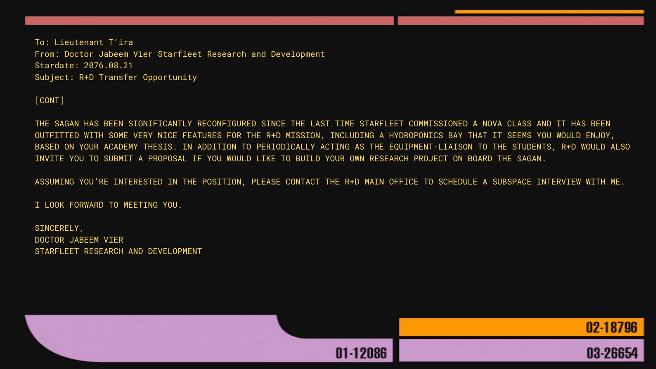To: Lieutenant T'ira From: Doctor Jabeem Vier Starfleet Research and Development Stardate: 2076.08.21 Subject: R+D Transfer Opportunity

## [CONT]

THE SAGAN HAS BEEN SIGNIFICANTLY RECONFIGURED SINCE THE LAST TIME STARFLEET COMMISSIONED A NOVA CLASS AND IT HAS BEEN OUTFITTED WITH SOME VERY NICE FEATURES FOR THE R+D MISSION, INCLUDING A HYDROPONICS BAY THAT IT SEEMS YOU WOULD ENJOY, BASED ON YOUR ACADEMY THESIS. IN ADDITION TO PERIODICALLY ACTING AS THE EQUIPMENT-LIAISON TO THE STUDENTS, R+D WOULD ALSO INVITE YOU TO SUBMIT A PROPOSAL IF YOU WOULD LIKE TO BUILD YOUR OWN RESEARCH PROJECT ON BOARD THE SAGAN.

ASSUMING YOU'RE INTERESTED IN THE POSITION, PLEASE CONTACT THE R+D MAIN OFFICE TO SCHEDULE A SUBSPACE INTERVIEW WITH ME.

I LOOK FORWARD TO MEETING YOU.

SINCERELY, DOCTOR JABEEM VIER STARFLEET RESEARCH AND DEVELOPMENT

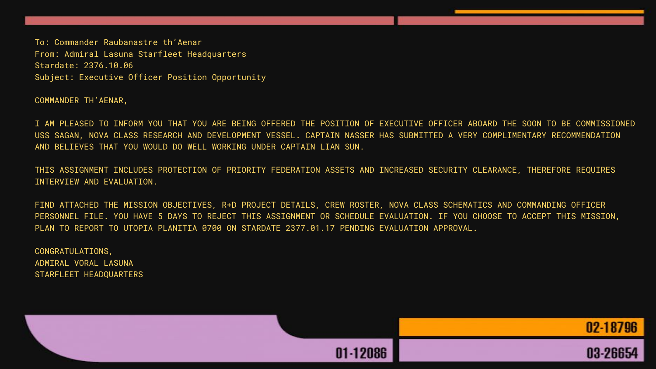To: Commander Raubanastre th'Aenar From: Admiral Lasuna Starfleet Headquarters Stardate: 2376.10.06 Subject: Executive Officer Position Opportunity

COMMANDER TH'AENAR,

I AM PLEASED TO INFORM YOU THAT YOU ARE BEING OFFERED THE POSITION OF EXECUTIVE OFFICER ABOARD THE SOON TO BE COMMISSIONED USS SAGAN, NOVA CLASS RESEARCH AND DEVELOPMENT VESSEL. CAPTAIN NASSER HAS SUBMITTED A VERY COMPLIMENTARY RECOMMENDATION AND BELIEVES THAT YOU WOULD DO WELL WORKING UNDER CAPTAIN LIAN SUN.

THIS ASSIGNMENT INCLUDES PROTECTION OF PRIORITY FEDERATION ASSETS AND INCREASED SECURITY CLEARANCE, THEREFORE REQUIRES INTERVIEW AND EVALUATION.

FIND ATTACHED THE MISSION OBJECTIVES, R+D PROJECT DETAILS, CREW ROSTER, NOVA CLASS SCHEMATICS AND COMMANDING OFFICER PERSONNEL FILE. YOU HAVE 5 DAYS TO REJECT THIS ASSIGNMENT OR SCHEDULE EVALUATION. IF YOU CHOOSE TO ACCEPT THIS MISSION, PLAN TO REPORT TO UTOPIA PLANITIA 0700 ON STARDATE 2377.01.17 PENDING EVALUATION APPROVAL.

CONGRATULATIONS, ADMIRAL VORAL LASUNA STARFLEET HEADQUARTERS

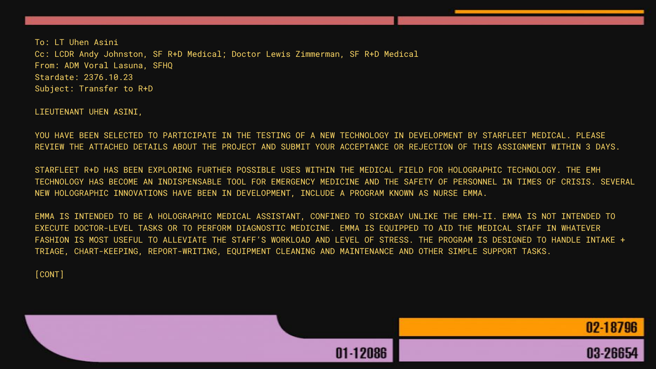LIEUTENANT UHEN ASINI,

YOU HAVE BEEN SELECTED TO PARTICIPATE IN THE TESTING OF A NEW TECHNOLOGY IN DEVELOPMENT BY STARFLEET MEDICAL. PLEASE REVIEW THE ATTACHED DETAILS ABOUT THE PROJECT AND SUBMIT YOUR ACCEPTANCE OR REJECTION OF THIS ASSIGNMENT WITHIN 3 DAYS.

STARFLEET R+D HAS BEEN EXPLORING FURTHER POSSIBLE USES WITHIN THE MEDICAL FIELD FOR HOLOGRAPHIC TECHNOLOGY. THE EMH TECHNOLOGY HAS BECOME AN INDISPENSABLE TOOL FOR EMERGENCY MEDICINE AND THE SAFETY OF PERSONNEL IN TIMES OF CRISIS. SEVERAL NEW HOLOGRAPHIC INNOVATIONS HAVE BEEN IN DEVELOPMENT, INCLUDE A PROGRAM KNOWN AS NURSE EMMA.

EMMA IS INTENDED TO BE A HOLOGRAPHIC MEDICAL ASSISTANT, CONFINED TO SICKBAY UNLIKE THE EMH-II. EMMA IS NOT INTENDED TO EXECUTE DOCTOR-LEVEL TASKS OR TO PERFORM DIAGNOSTIC MEDICINE. EMMA IS EQUIPPED TO AID THE MEDICAL STAFF IN WHATEVER FASHION IS MOST USEFUL TO ALLEVIATE THE STAFF'S WORKLOAD AND LEVEL OF STRESS. THE PROGRAM IS DESIGNED TO HANDLE INTAKE + TRIAGE, CHART-KEEPING, REPORT-WRITING, EQUIPMENT CLEANING AND MAINTENANCE AND OTHER SIMPLE SUPPORT TASKS.

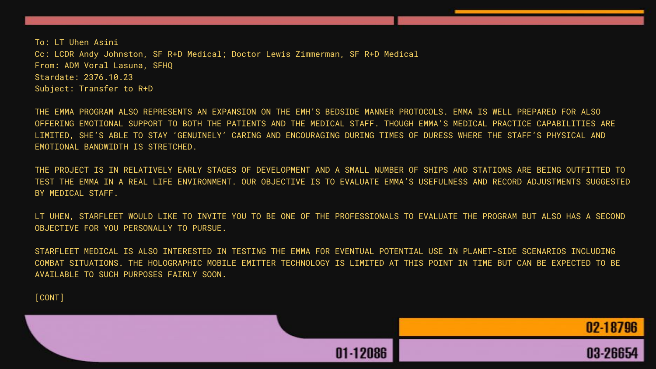THE EMMA PROGRAM ALSO REPRESENTS AN EXPANSION ON THE EMH'S BEDSIDE MANNER PROTOCOLS. EMMA IS WELL PREPARED FOR ALSO OFFERING EMOTIONAL SUPPORT TO BOTH THE PATIENTS AND THE MEDICAL STAFF. THOUGH EMMA'S MEDICAL PRACTICE CAPABILITIES ARE LIMITED, SHE'S ABLE TO STAY 'GENUINELY' CARING AND ENCOURAGING DURING TIMES OF DURESS WHERE THE STAFF'S PHYSICAL AND EMOTIONAL BANDWIDTH IS STRETCHED.

THE PROJECT IS IN RELATIVELY EARLY STAGES OF DEVELOPMENT AND A SMALL NUMBER OF SHIPS AND STATIONS ARE BEING OUTFITTED TO TEST THE EMMA IN A REAL LIFE ENVIRONMENT. OUR OBJECTIVE IS TO EVALUATE EMMA'S USEFULNESS AND RECORD ADJUSTMENTS SUGGESTED BY MEDICAL STAFF.

LT UHEN, STARFLEET WOULD LIKE TO INVITE YOU TO BE ONE OF THE PROFESSIONALS TO EVALUATE THE PROGRAM BUT ALSO HAS A SECOND OBJECTIVE FOR YOU PERSONALLY TO PURSUE.

STARFLEET MEDICAL IS ALSO INTERESTED IN TESTING THE EMMA FOR EVENTUAL POTENTIAL USE IN PLANET-SIDE SCENARIOS INCLUDING COMBAT SITUATIONS. THE HOLOGRAPHIC MOBILE EMITTER TECHNOLOGY IS LIMITED AT THIS POINT IN TIME BUT CAN BE EXPECTED TO BE AVAILABLE TO SUCH PURPOSES FAIRLY SOON.

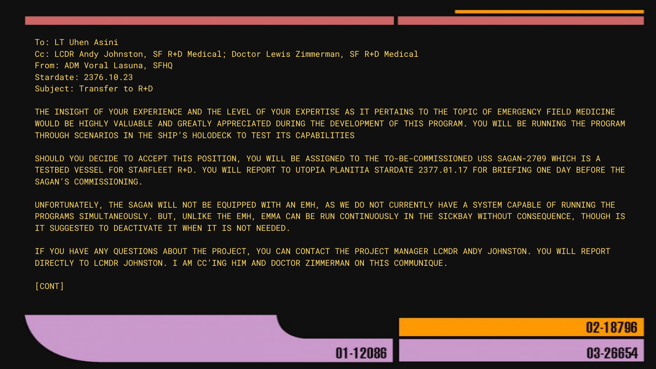THE INSIGHT OF YOUR EXPERIENCE AND THE LEVEL OF YOUR EXPERTISE AS IT PERTAINS TO THE TOPIC OF EMERGENCY FIELD MEDICINE WOULD BE HIGHLY VALUABLE AND GREATLY APPRECIATED DURING THE DEVELOPMENT OF THIS PROGRAM. YOU WILL BE RUNNING THE PROGRAM THROUGH SCENARIOS IN THE SHIP'S HOLODECK TO TEST ITS CAPABILITIES

SHOULD YOU DECIDE TO ACCEPT THIS POSITION, YOU WILL BE ASSIGNED TO THE TO-BE-COMMISSIONED USS SAGAN-2709 WHICH IS A TESTBED VESSEL FOR STARFLEET R+D. YOU WILL REPORT TO UTOPIA PLANITIA STARDATE 2377.01.17 FOR BRIEFING ONE DAY BEFORE THE SAGAN'S COMMISSIONING.

UNFORTUNATELY, THE SAGAN WILL NOT BE EQUIPPED WITH AN EMH, AS WE DO NOT CURRENTLY HAVE A SYSTEM CAPABLE OF RUNNING THE PROGRAMS SIMULTANEOUSLY. BUT, UNLIKE THE EMH, EMMA CAN BE RUN CONTINUOUSLY IN THE SICKBAY WITHOUT CONSEQUENCE, THOUGH IS IT SUGGESTED TO DEACTIVATE IT WHEN IT IS NOT NEEDED.

IF YOU HAVE ANY QUESTIONS ABOUT THE PROJECT, YOU CAN CONTACT THE PROJECT MANAGER LCMDR ANDY JOHNSTON. YOU WILL REPORT DIRECTLY TO LCMDR JOHNSTON. I AM CC'ING HIM AND DOCTOR ZIMMERMAN ON THIS COMMUNIQUE.

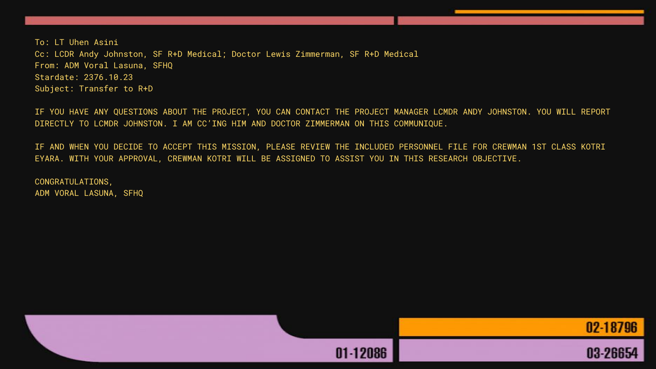IF YOU HAVE ANY QUESTIONS ABOUT THE PROJECT, YOU CAN CONTACT THE PROJECT MANAGER LCMDR ANDY JOHNSTON. YOU WILL REPORT DIRECTLY TO LCMDR JOHNSTON. I AM CC'ING HIM AND DOCTOR ZIMMERMAN ON THIS COMMUNIQUE.

IF AND WHEN YOU DECIDE TO ACCEPT THIS MISSION, PLEASE REVIEW THE INCLUDED PERSONNEL FILE FOR CREWMAN 1ST CLASS KOTRI EYARA. WITH YOUR APPROVAL, CREWMAN KOTRI WILL BE ASSIGNED TO ASSIST YOU IN THIS RESEARCH OBJECTIVE.

CONGRATULATIONS, ADM VORAL LASUNA, SFHQ

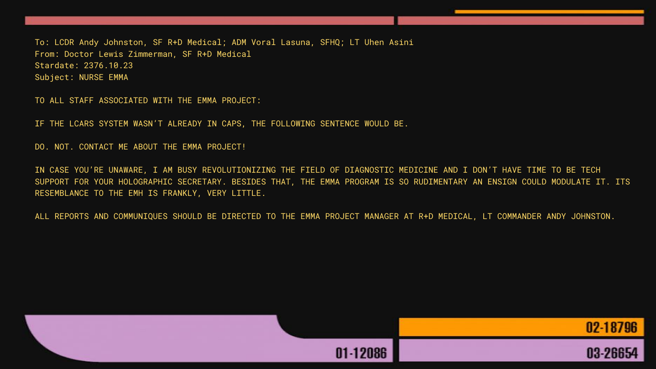To: LCDR Andy Johnston, SF R+D Medical; ADM Voral Lasuna, SFHQ; LT Uhen Asini From: Doctor Lewis Zimmerman, SF R+D Medical Stardate: 2376.10.23 Subject: NURSE EMMA

TO ALL STAFF ASSOCIATED WITH THE EMMA PROJECT:

IF THE LCARS SYSTEM WASN'T ALREADY IN CAPS, THE FOLLOWING SENTENCE WOULD BE.

DO. NOT. CONTACT ME ABOUT THE EMMA PROJECT!

IN CASE YOU'RE UNAWARE, I AM BUSY REVOLUTIONIZING THE FIELD OF DIAGNOSTIC MEDICINE AND I DON'T HAVE TIME TO BE TECH SUPPORT FOR YOUR HOLOGRAPHIC SECRETARY. BESIDES THAT, THE EMMA PROGRAM IS SO RUDIMENTARY AN ENSIGN COULD MODULATE IT. ITS RESEMBLANCE TO THE EMH IS FRANKLY, VERY LITTLE.

ALL REPORTS AND COMMUNIQUES SHOULD BE DIRECTED TO THE EMMA PROJECT MANAGER AT R+D MEDICAL, LT COMMANDER ANDY JOHNSTON.

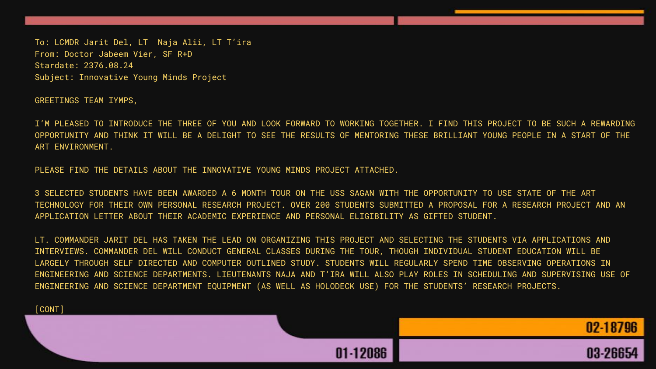To: LCMDR Jarit Del, LT Naja Alii, LT T'ira From: Doctor Jabeem Vier, SF R+D Stardate: 2376.08.24 Subject: Innovative Young Minds Project

GREETINGS TEAM IYMPS,

I'M PLEASED TO INTRODUCE THE THREE OF YOU AND LOOK FORWARD TO WORKING TOGETHER. I FIND THIS PROJECT TO BE SUCH A REWARDING OPPORTUNITY AND THINK IT WILL BE A DELIGHT TO SEE THE RESULTS OF MENTORING THESE BRILLIANT YOUNG PEOPLE IN A START OF THE ART ENVIRONMENT.

PLEASE FIND THE DETAILS ABOUT THE INNOVATIVE YOUNG MINDS PROJECT ATTACHED.

3 SELECTED STUDENTS HAVE BEEN AWARDED A 6 MONTH TOUR ON THE USS SAGAN WITH THE OPPORTUNITY TO USE STATE OF THE ART TECHNOLOGY FOR THEIR OWN PERSONAL RESEARCH PROJECT. OVER 200 STUDENTS SUBMITTED A PROPOSAL FOR A RESEARCH PROJECT AND AN APPLICATION LETTER ABOUT THEIR ACADEMIC EXPERIENCE AND PERSONAL ELIGIBILITY AS GIFTED STUDENT.

LT. COMMANDER JARIT DEL HAS TAKEN THE LEAD ON ORGANIZING THIS PROJECT AND SELECTING THE STUDENTS VIA APPLICATIONS AND INTERVIEWS. COMMANDER DEL WILL CONDUCT GENERAL CLASSES DURING THE TOUR, THOUGH INDIVIDUAL STUDENT EDUCATION WILL BE LARGELY THROUGH SELF DIRECTED AND COMPUTER OUTLINED STUDY. STUDENTS WILL REGULARLY SPEND TIME OBSERVING OPERATIONS IN ENGINEERING AND SCIENCE DEPARTMENTS. LIEUTENANTS NAJA AND T'IRA WILL ALSO PLAY ROLES IN SCHEDULING AND SUPERVISING USE OF ENGINEERING AND SCIENCE DEPARTMENT EQUIPMENT (AS WELL AS HOLODECK USE) FOR THE STUDENTS' RESEARCH PROJECTS.

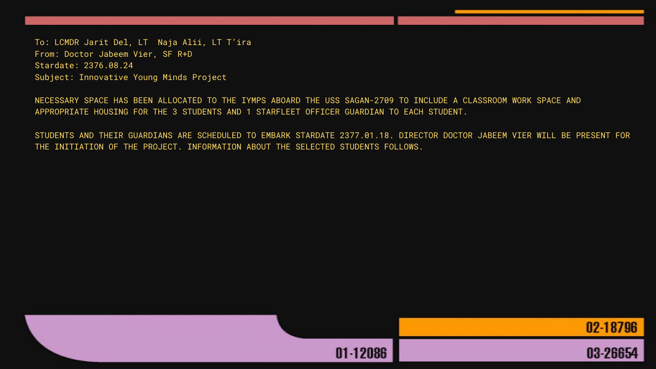To: LCMDR Jarit Del, LT Naja Alii, LT T'ira From: Doctor Jabeem Vier, SF R+D Stardate: 2376.08.24 Subject: Innovative Young Minds Project

NECESSARY SPACE HAS BEEN ALLOCATED TO THE IYMPS ABOARD THE USS SAGAN-2709 TO INCLUDE A CLASSROOM WORK SPACE AND APPROPRIATE HOUSING FOR THE 3 STUDENTS AND 1 STARFLEET OFFICER GUARDIAN TO EACH STUDENT.

STUDENTS AND THEIR GUARDIANS ARE SCHEDULED TO EMBARK STARDATE 2377.01.18. DIRECTOR DOCTOR JABEEM VIER WILL BE PRESENT FOR THE INITIATION OF THE PROJECT. INFORMATION ABOUT THE SELECTED STUDENTS FOLLOWS.